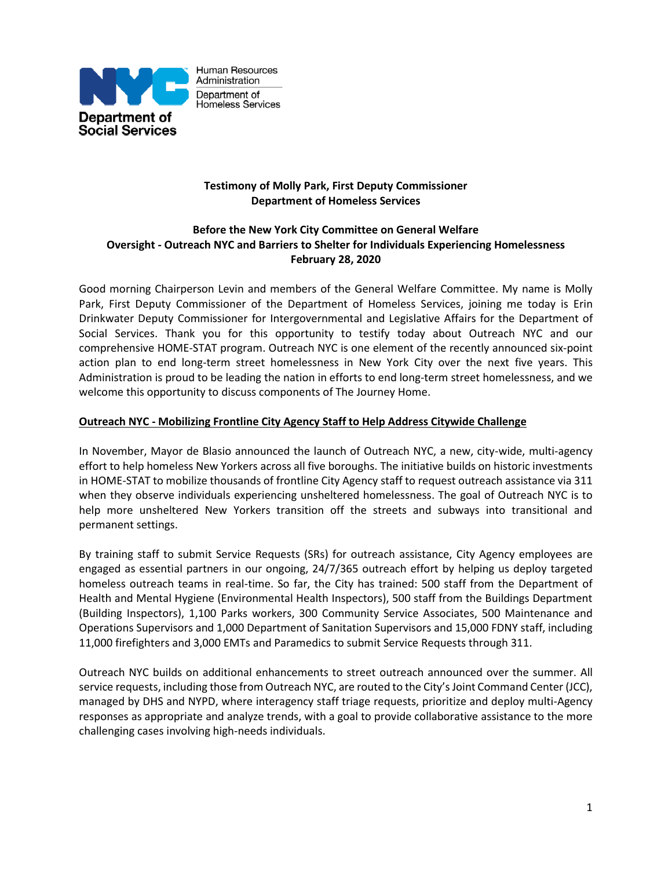

## **Testimony of Molly Park, First Deputy Commissioner Department of Homeless Services**

# **Before the New York City Committee on General Welfare Oversight - Outreach NYC and Barriers to Shelter for Individuals Experiencing Homelessness February 28, 2020**

Good morning Chairperson Levin and members of the General Welfare Committee. My name is Molly Park, First Deputy Commissioner of the Department of Homeless Services, joining me today is Erin Drinkwater Deputy Commissioner for Intergovernmental and Legislative Affairs for the Department of Social Services. Thank you for this opportunity to testify today about Outreach NYC and our comprehensive HOME-STAT program. Outreach NYC is one element of the recently announced six-point action plan to end long-term street homelessness in New York City over the next five years. This Administration is proud to be leading the nation in efforts to end long-term street homelessness, and we welcome this opportunity to discuss components of The Journey Home.

## **Outreach NYC - Mobilizing Frontline City Agency Staff to Help Address Citywide Challenge**

In November, Mayor de Blasio announced the launch of Outreach NYC, a new, city-wide, multi-agency effort to help homeless New Yorkers across all five boroughs. The initiative builds on historic investments in HOME-STAT to mobilize thousands of frontline City Agency staff to request outreach assistance via 311 when they observe individuals experiencing unsheltered homelessness. The goal of Outreach NYC is to help more unsheltered New Yorkers transition off the streets and subways into transitional and permanent settings.

By training staff to submit Service Requests (SRs) for outreach assistance, City Agency employees are engaged as essential partners in our ongoing, 24/7/365 outreach effort by helping us deploy targeted homeless outreach teams in real-time. So far, the City has trained: 500 staff from the Department of Health and Mental Hygiene (Environmental Health Inspectors), 500 staff from the Buildings Department (Building Inspectors), 1,100 Parks workers, 300 Community Service Associates, 500 Maintenance and Operations Supervisors and 1,000 Department of Sanitation Supervisors and 15,000 FDNY staff, including 11,000 firefighters and 3,000 EMTs and Paramedics to submit Service Requests through 311.

Outreach NYC builds on additional enhancements to street outreach announced over the summer. All service requests, including those from Outreach NYC, are routed to the City's Joint Command Center (JCC), managed by DHS and NYPD, where interagency staff triage requests, prioritize and deploy multi-Agency responses as appropriate and analyze trends, with a goal to provide collaborative assistance to the more challenging cases involving high-needs individuals.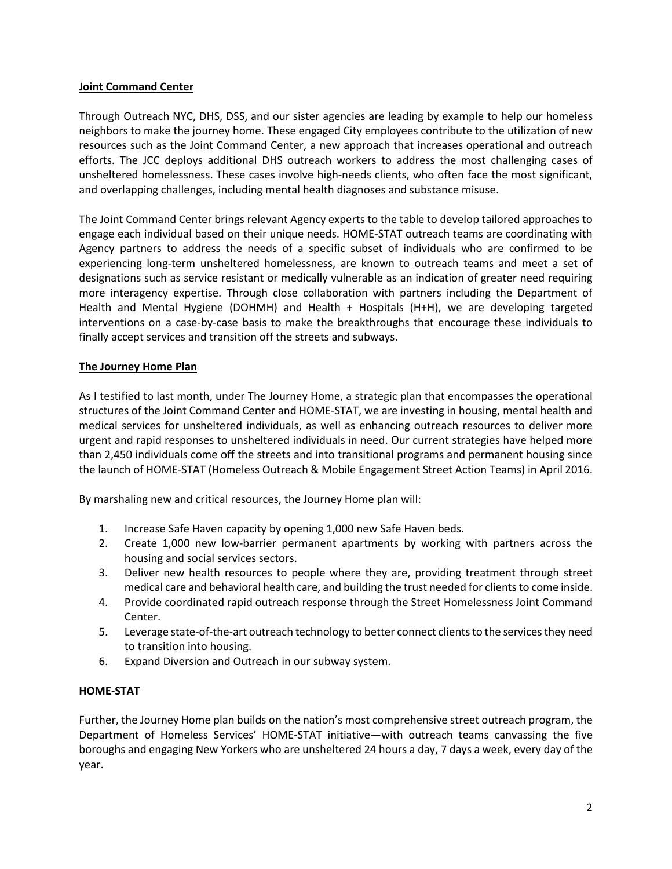#### **Joint Command Center**

Through Outreach NYC, DHS, DSS, and our sister agencies are leading by example to help our homeless neighbors to make the journey home. These engaged City employees contribute to the utilization of new resources such as the Joint Command Center, a new approach that increases operational and outreach efforts. The JCC deploys additional DHS outreach workers to address the most challenging cases of unsheltered homelessness. These cases involve high-needs clients, who often face the most significant, and overlapping challenges, including mental health diagnoses and substance misuse.

The Joint Command Center brings relevant Agency experts to the table to develop tailored approaches to engage each individual based on their unique needs. HOME-STAT outreach teams are coordinating with Agency partners to address the needs of a specific subset of individuals who are confirmed to be experiencing long-term unsheltered homelessness, are known to outreach teams and meet a set of designations such as service resistant or medically vulnerable as an indication of greater need requiring more interagency expertise. Through close collaboration with partners including the Department of Health and Mental Hygiene (DOHMH) and Health + Hospitals (H+H), we are developing targeted interventions on a case-by-case basis to make the breakthroughs that encourage these individuals to finally accept services and transition off the streets and subways.

## **The Journey Home Plan**

As I testified to last month, under The Journey Home, a strategic plan that encompasses the operational structures of the Joint Command Center and HOME-STAT, we are investing in housing, mental health and medical services for unsheltered individuals, as well as enhancing outreach resources to deliver more urgent and rapid responses to unsheltered individuals in need. Our current strategies have helped more than 2,450 individuals come off the streets and into transitional programs and permanent housing since the launch of HOME-STAT (Homeless Outreach & Mobile Engagement Street Action Teams) in April 2016.

By marshaling new and critical resources, the Journey Home plan will:

- 1. Increase Safe Haven capacity by opening 1,000 new Safe Haven beds.
- 2. Create 1,000 new low-barrier permanent apartments by working with partners across the housing and social services sectors.
- 3. Deliver new health resources to people where they are, providing treatment through street medical care and behavioral health care, and building the trust needed for clients to come inside.
- 4. Provide coordinated rapid outreach response through the Street Homelessness Joint Command Center.
- 5. Leverage state-of-the-art outreach technology to better connect clients to the services they need to transition into housing.
- 6. Expand Diversion and Outreach in our subway system.

#### **HOME-STAT**

Further, the Journey Home plan builds on the nation's most comprehensive street outreach program, the Department of Homeless Services' HOME-STAT initiative—with outreach teams canvassing the five boroughs and engaging New Yorkers who are unsheltered 24 hours a day, 7 days a week, every day of the year.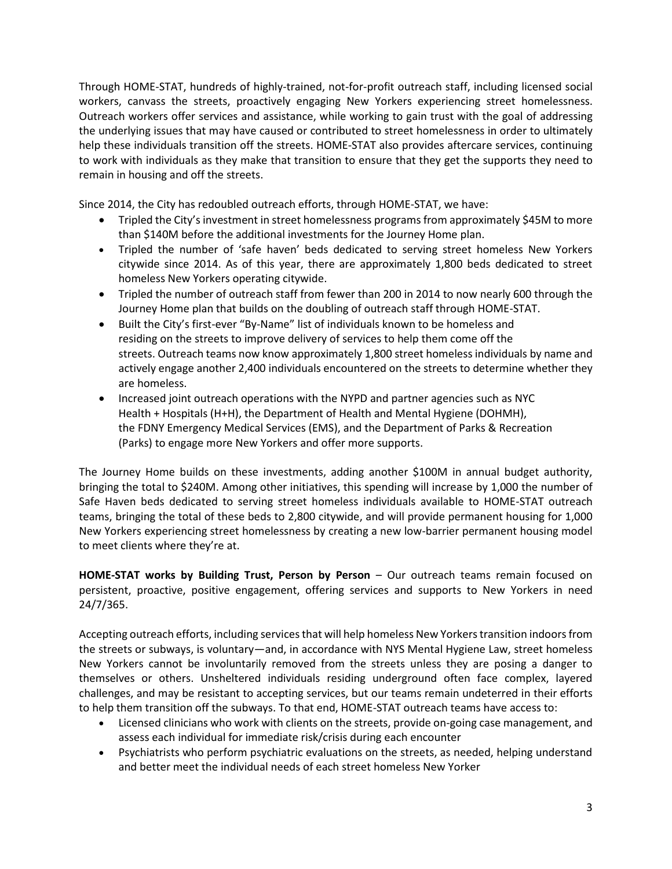Through HOME-STAT, hundreds of highly-trained, not-for-profit outreach staff, including licensed social workers, canvass the streets, proactively engaging New Yorkers experiencing street homelessness. Outreach workers offer services and assistance, while working to gain trust with the goal of addressing the underlying issues that may have caused or contributed to street homelessness in order to ultimately help these individuals transition off the streets. HOME-STAT also provides aftercare services, continuing to work with individuals as they make that transition to ensure that they get the supports they need to remain in housing and off the streets.

Since 2014, the City has redoubled outreach efforts, through HOME-STAT, we have:

- Tripled the City's investment in street homelessness programs from approximately \$45M to more than \$140M before the additional investments for the Journey Home plan.
- Tripled the number of 'safe haven' beds dedicated to serving street homeless New Yorkers citywide since 2014. As of this year, there are approximately 1,800 beds dedicated to street homeless New Yorkers operating citywide.
- Tripled the number of outreach staff from fewer than 200 in 2014 to now nearly 600 through the Journey Home plan that builds on the doubling of outreach staff through HOME-STAT.
- Built the City's first-ever "By-Name" list of individuals known to be homeless and residing on the streets to improve delivery of services to help them come off the streets. Outreach teams now know approximately 1,800 street homeless individuals by name and actively engage another 2,400 individuals encountered on the streets to determine whether they are homeless.
- Increased joint outreach operations with the NYPD and partner agencies such as NYC Health + Hospitals (H+H), the Department of Health and Mental Hygiene (DOHMH), the FDNY Emergency Medical Services (EMS), and the Department of Parks & Recreation (Parks) to engage more New Yorkers and offer more supports.

The Journey Home builds on these investments, adding another \$100M in annual budget authority, bringing the total to \$240M. Among other initiatives, this spending will increase by 1,000 the number of Safe Haven beds dedicated to serving street homeless individuals available to HOME-STAT outreach teams, bringing the total of these beds to 2,800 citywide, and will provide permanent housing for 1,000 New Yorkers experiencing street homelessness by creating a new low-barrier permanent housing model to meet clients where they're at.

**HOME-STAT works by Building Trust, Person by Person** – Our outreach teams remain focused on persistent, proactive, positive engagement, offering services and supports to New Yorkers in need 24/7/365.

Accepting outreach efforts, including services that will help homeless New Yorkers transition indoors from the streets or subways, is voluntary—and, in accordance with NYS Mental Hygiene Law, street homeless New Yorkers cannot be involuntarily removed from the streets unless they are posing a danger to themselves or others. Unsheltered individuals residing underground often face complex, layered challenges, and may be resistant to accepting services, but our teams remain undeterred in their efforts to help them transition off the subways. To that end, HOME-STAT outreach teams have access to:

- Licensed clinicians who work with clients on the streets, provide on-going case management, and assess each individual for immediate risk/crisis during each encounter
- Psychiatrists who perform psychiatric evaluations on the streets, as needed, helping understand and better meet the individual needs of each street homeless New Yorker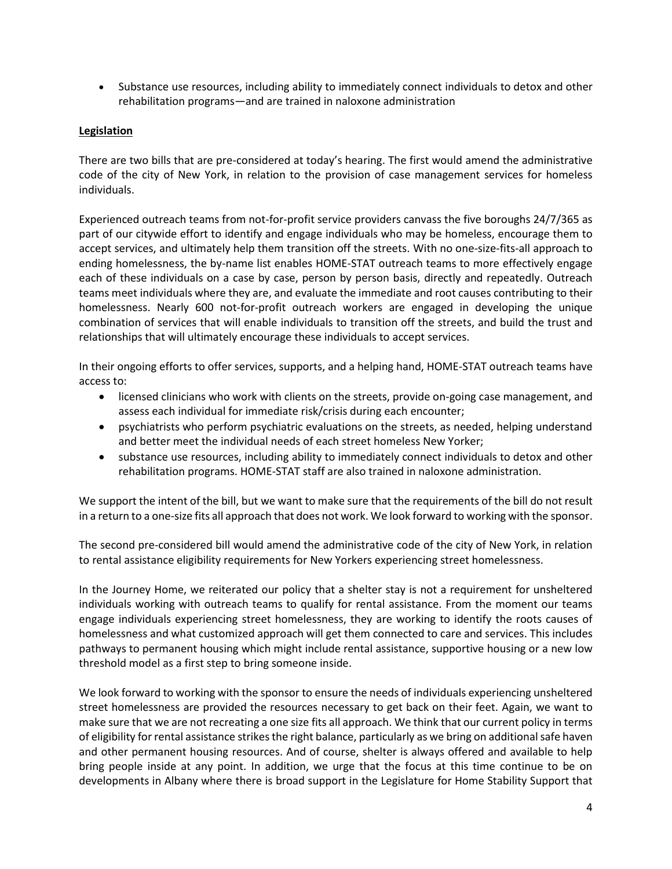• Substance use resources, including ability to immediately connect individuals to detox and other rehabilitation programs—and are trained in naloxone administration

#### **Legislation**

There are two bills that are pre-considered at today's hearing. The first would amend the administrative code of the city of New York, in relation to the provision of case management services for homeless individuals.

Experienced outreach teams from not-for-profit service providers canvass the five boroughs 24/7/365 as part of our citywide effort to identify and engage individuals who may be homeless, encourage them to accept services, and ultimately help them transition off the streets. With no one-size-fits-all approach to ending homelessness, the by-name list enables HOME-STAT outreach teams to more effectively engage each of these individuals on a case by case, person by person basis, directly and repeatedly. Outreach teams meet individuals where they are, and evaluate the immediate and root causes contributing to their homelessness. Nearly 600 not-for-profit outreach workers are engaged in developing the unique combination of services that will enable individuals to transition off the streets, and build the trust and relationships that will ultimately encourage these individuals to accept services.

In their ongoing efforts to offer services, supports, and a helping hand, HOME-STAT outreach teams have access to:

- licensed clinicians who work with clients on the streets, provide on-going case management, and assess each individual for immediate risk/crisis during each encounter;
- psychiatrists who perform psychiatric evaluations on the streets, as needed, helping understand and better meet the individual needs of each street homeless New Yorker;
- substance use resources, including ability to immediately connect individuals to detox and other rehabilitation programs. HOME-STAT staff are also trained in naloxone administration.

We support the intent of the bill, but we want to make sure that the requirements of the bill do not result in a return to a one-size fits all approach that does not work. We look forward to working with the sponsor.

The second pre-considered bill would amend the administrative code of the city of New York, in relation to rental assistance eligibility requirements for New Yorkers experiencing street homelessness.

In the Journey Home, we reiterated our policy that a shelter stay is not a requirement for unsheltered individuals working with outreach teams to qualify for rental assistance. From the moment our teams engage individuals experiencing street homelessness, they are working to identify the roots causes of homelessness and what customized approach will get them connected to care and services. This includes pathways to permanent housing which might include rental assistance, supportive housing or a new low threshold model as a first step to bring someone inside.

We look forward to working with the sponsor to ensure the needs of individuals experiencing unsheltered street homelessness are provided the resources necessary to get back on their feet. Again, we want to make sure that we are not recreating a one size fits all approach. We think that our current policy in terms of eligibility for rental assistance strikes the right balance, particularly as we bring on additional safe haven and other permanent housing resources. And of course, shelter is always offered and available to help bring people inside at any point. In addition, we urge that the focus at this time continue to be on developments in Albany where there is broad support in the Legislature for Home Stability Support that